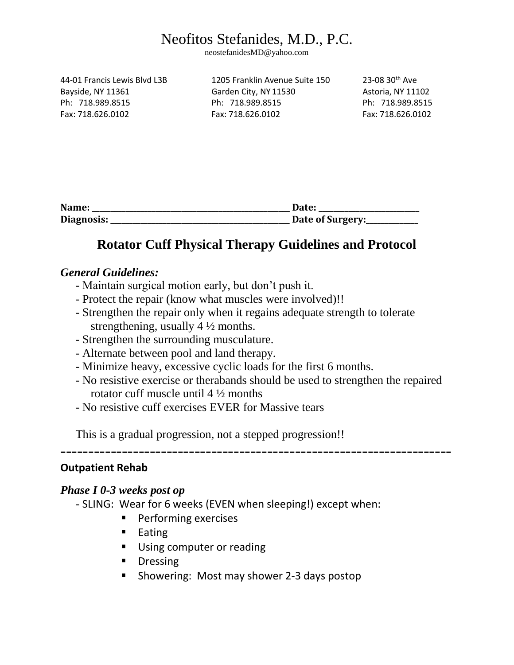neostefanidesMD@yahoo.com

| 44-01 Francis Lewis Blyd L3B |
|------------------------------|
| Bayside, NY 11361            |
| Ph: 718,989,8515             |
| Fax: 718.626.0102            |

1205 Franklin Avenue Suite 150  $23-0830$ <sup>th</sup> Ave Garden City, NY 11530 Astoria, NY 11102 Ph: 718.989.8515 Ph: 718.989.8515 Ph: 718.989.8515 Fax: 718.626.0102 Fax: 718.626.0102 Fax: 718.626.0102

| Name:      | Date:            |
|------------|------------------|
| Diagnosis: | Date of Surgery: |

### **Rotator Cuff Physical Therapy Guidelines and Protocol**

### *General Guidelines:*

- Maintain surgical motion early, but don't push it.
- Protect the repair (know what muscles were involved)!!
- Strengthen the repair only when it regains adequate strength to tolerate strengthening, usually 4 ½ months.
- Strengthen the surrounding musculature.
- Alternate between pool and land therapy.
- Minimize heavy, excessive cyclic loads for the first 6 months.
- No resistive exercise or therabands should be used to strengthen the repaired rotator cuff muscle until 4 ½ months

----------------------------------------------------------------------

- No resistive cuff exercises EVER for Massive tears

This is a gradual progression, not a stepped progression!!

### **Outpatient Rehab**

### *Phase I 0-3 weeks post op*

- SLING: Wear for 6 weeks (EVEN when sleeping!) except when:
	- **Performing exercises**
	- **Eating**
	- **Using computer or reading**
	- **Dressing**
	- **Showering: Most may shower 2-3 days postop**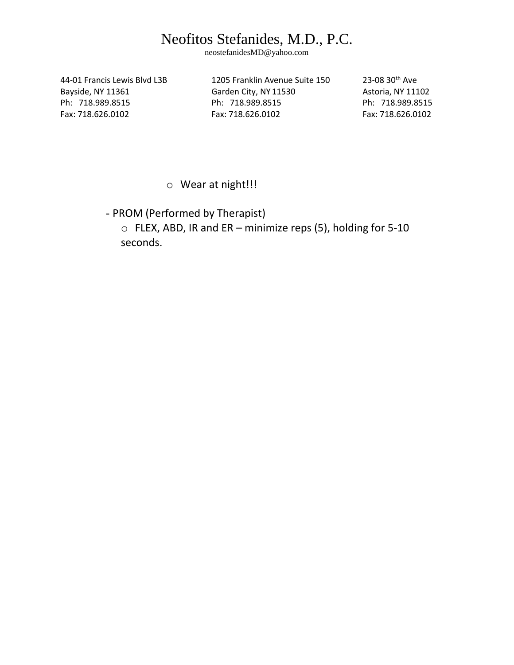neostefanidesMD@yahoo.com

44-01 Francis Lewis Blvd L3B 1205 Franklin Avenue Suite 150 23-08 30<sup>th</sup> Ave Bayside, NY 11361 Garden City, NY 11530 Astoria, NY 11102 Ph: 718.989.8515 Ph: 718.989.8515 Ph: 718.989.8515 Fax: 718.626.0102 Fax: 718.626.0102 Fax: 718.626.0102

o Wear at night!!!

- PROM (Performed by Therapist)

o FLEX, ABD, IR and ER – minimize reps (5), holding for 5-10 seconds.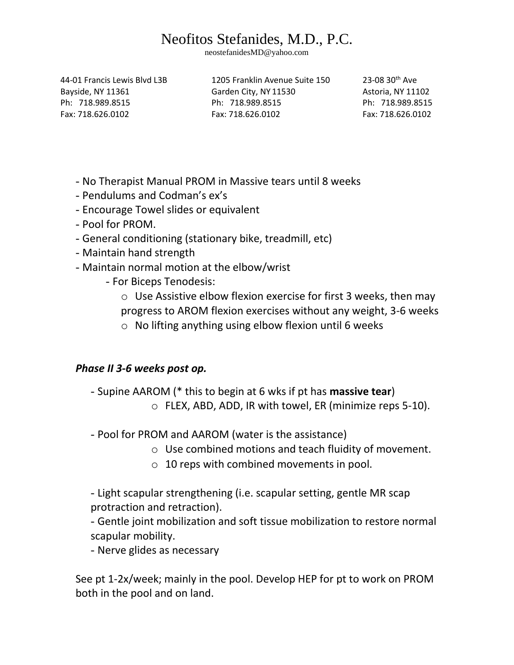neostefanidesMD@yahoo.com

44-01 Francis Lewis Blvd L3B 1205 Franklin Avenue Suite 150 23-08 30th Ave

Bayside, NY 11361 Garden City, NY 11530 Astoria, NY 11102 Ph: 718.989.8515 Ph: 718.989.8515 Ph: 718.989.8515 Fax: 718.626.0102 Fax: 718.626.0102 Fax: 718.626.0102

- No Therapist Manual PROM in Massive tears until 8 weeks
- Pendulums and Codman's ex's
- Encourage Towel slides or equivalent
- Pool for PROM.
- General conditioning (stationary bike, treadmill, etc)
- Maintain hand strength
- Maintain normal motion at the elbow/wrist
	- For Biceps Tenodesis:
		- o Use Assistive elbow flexion exercise for first 3 weeks, then may progress to AROM flexion exercises without any weight, 3-6 weeks
		- o No lifting anything using elbow flexion until 6 weeks

### *Phase II 3-6 weeks post op.*

- Supine AAROM (\* this to begin at 6 wks if pt has **massive tear**)

- o FLEX, ABD, ADD, IR with towel, ER (minimize reps 5-10).
- Pool for PROM and AAROM (water is the assistance)
	- o Use combined motions and teach fluidity of movement.
	- o 10 reps with combined movements in pool.

- Light scapular strengthening (i.e. scapular setting, gentle MR scap protraction and retraction).

- Gentle joint mobilization and soft tissue mobilization to restore normal scapular mobility.

- Nerve glides as necessary

See pt 1-2x/week; mainly in the pool. Develop HEP for pt to work on PROM both in the pool and on land.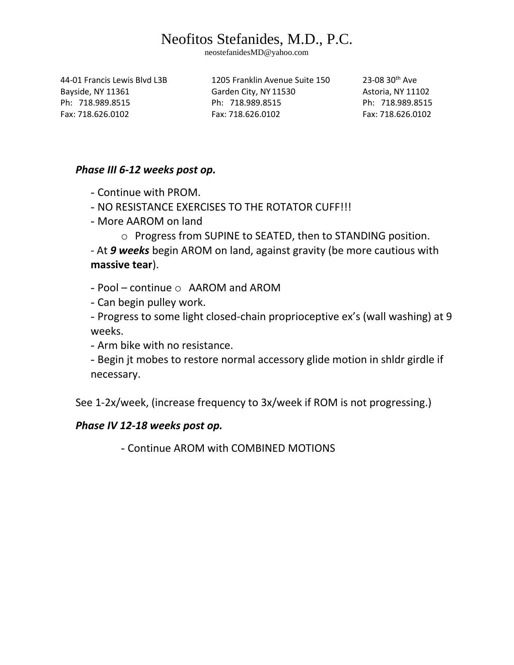neostefanidesMD@yahoo.com

44-01 Francis Lewis Blvd L3B 1205 Franklin Avenue Suite 150 23-08 30th Ave

Bayside, NY 11361 Garden City, NY 11530 Astoria, NY 11102 Ph: 718.989.8515 Ph: 718.989.8515 Ph: 718.989.8515 Fax: 718.626.0102 Fax: 718.626.0102 Fax: 718.626.0102

#### *Phase III 6-12 weeks post op.*

- Continue with PROM.

- NO RESISTANCE EXERCISES TO THE ROTATOR CUFF!!!

- More AAROM on land

o Progress from SUPINE to SEATED, then to STANDING position.

- At *9 weeks* begin AROM on land, against gravity (be more cautious with **massive tear**).

 $-$  Pool – continue  $\circ$  AAROM and AROM

- Can begin pulley work.

- Progress to some light closed-chain proprioceptive ex's (wall washing) at 9 weeks.

- Arm bike with no resistance.

- Begin jt mobes to restore normal accessory glide motion in shldr girdle if necessary.

See 1-2x/week, (increase frequency to 3x/week if ROM is not progressing.)

### *Phase IV 12-18 weeks post op.*

- Continue AROM with COMBINED MOTIONS